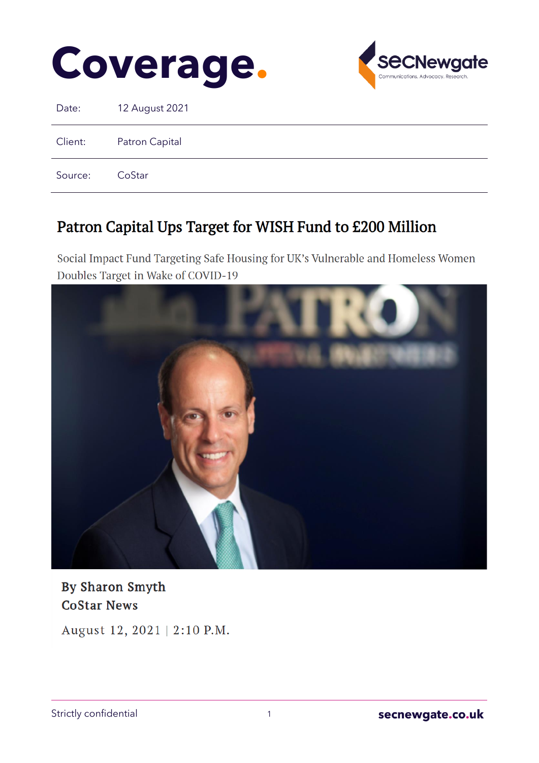



Date: 12 August 2021

Client: Patron Capital

Source: CoStar

# Patron Capital Ups Target for WISH Fund to £200 Million

Social Impact Fund Targeting Safe Housing for UK's Vulnerable and Homeless Women Doubles Target in Wake of COVID-19



By Sharon Smyth **CoStar News** 

August 12, 2021 | 2:10 P.M.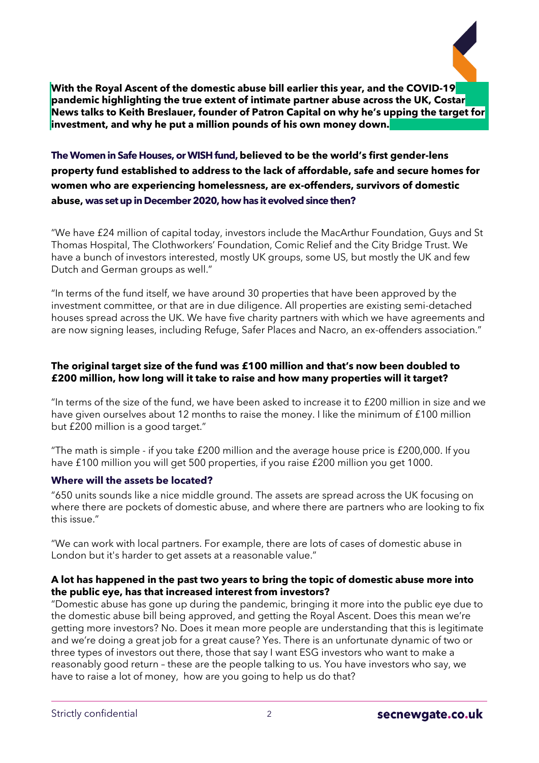

**With the Royal Ascent of the domestic abuse bill earlier this year, and the COVID-19 pandemic highlighting the true extent of intimate partner abuse across the UK, Costar News talks to Keith Breslauer, founder of Patron Capital on why he's upping the target for investment, and why he put a million pounds of his own money down.**

# **TheWomen in Safe Houses, orWISHfund,believed to be the world's first gender-lens property fund established to address to the lack of affordable, safe and secure homes for women who are experiencing homelessness, are ex-offenders, survivors of domestic abuse, was setupin December2020, how has it evolvedsince then?**

"We have £24 million of capital today, investors include the MacArthur Foundation, Guys and St Thomas Hospital, The Clothworkers' Foundation, Comic Relief and the City Bridge Trust. We have a bunch of investors interested, mostly UK groups, some US, but mostly the UK and few Dutch and German groups as well."

"In terms of the fund itself, we have around 30 properties that have been approved by the investment committee, or that are in due diligence. All properties are existing semi-detached houses spread across the UK. We have five charity partners with which we have agreements and are now signing leases, including Refuge, Safer Places and Nacro, an ex-offenders association."

# **The original target size of the fund was £100 million and that's now been doubled to £200 million, how long will it take to raise and how many properties will it target?**

"In terms of the size of the fund, we have been asked to increase it to £200 million in size and we have given ourselves about 12 months to raise the money. I like the minimum of £100 million but £200 million is a good target."

"The math is simple - if you take £200 million and the average house price is £200,000. If you have £100 million you will get 500 properties, if you raise £200 million you get 1000.

# **Where will the assets be located?**

"650 units sounds like a nice middle ground. The assets are spread across the UK focusing on where there are pockets of domestic abuse, and where there are partners who are looking to fix this issue."

"We can work with local partners. For example, there are lots of cases of domestic abuse in London but it's harder to get assets at a reasonable value."

#### **A lot has happened in the past two years to bring the topic of domestic abuse more into the public eye, has that increased interest from investors?**

"Domestic abuse has gone up during the pandemic, bringing it more into the public eye due to the domestic abuse bill being approved, and getting the Royal Ascent. Does this mean we're getting more investors? No. Does it mean more people are understanding that this is legitimate and we're doing a great job for a great cause? Yes. There is an unfortunate dynamic of two or three types of investors out there, those that say I want ESG investors who want to make a reasonably good return – these are the people talking to us. You have investors who say, we have to raise a lot of money, how are you going to help us do that?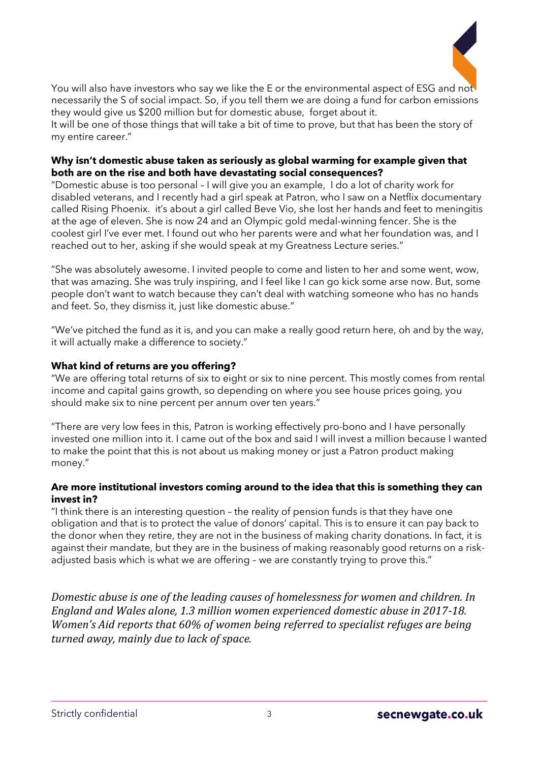

You will also have investors who say we like the E or the environmental aspect of ESG and not necessarily the S of social impact. So, if you tell them we are doing a fund for carbon emissions they would give us \$200 million but for domestic abuse, forget about it.

It will be one of those things that will take a bit of time to prove, but that has been the story of my entire career."

#### **Why isn't domestic abuse taken as seriously as global warming for example given that both are on the rise and both have devastating social consequences?**

"Domestic abuse is too personal – I will give you an example, I do a lot of charity work for disabled veterans, and I recently had a girl speak at Patron, who I saw on a Netflix documentary called Rising Phoenix. it's about a girl called Beve Vio, she lost her hands and feet to meningitis at the age of eleven. She is now 24 and an Olympic gold medal-winning fencer. She is the coolest girl I've ever met. I found out who her parents were and what her foundation was, and I reached out to her, asking if she would speak at my Greatness Lecture series."

"She was absolutely awesome. I invited people to come and listen to her and some went, wow, that was amazing. She was truly inspiring, and I feel like I can go kick some arse now. But, some people don't want to watch because they can't deal with watching someone who has no hands and feet. So, they dismiss it, just like domestic abuse."

"We've pitched the fund as it is, and you can make a really good return here, oh and by the way, it will actually make a difference to society."

### **What kind of returns are you offering?**

"We are offering total returns of six to eight or six to nine percent. This mostly comes from rental income and capital gains growth, so depending on where you see house prices going, you should make six to nine percent per annum over ten years."

"There are very low fees in this, Patron is working effectively pro-bono and I have personally invested one million into it. I came out of the box and said I will invest a million because I wanted to make the point that this is not about us making money or just a Patron product making money."

#### **Are more institutional investors coming around to the idea that this is something they can invest in?**

"I think there is an interesting question – the reality of pension funds is that they have one obligation and that is to protect the value of donors' capital. This is to ensure it can pay back to the donor when they retire, they are not in the business of making charity donations. In fact, it is against their mandate, but they are in the business of making reasonably good returns on a riskadjusted basis which is what we are offering – we are constantly trying to prove this."

*Domestic abuse is one of the leading causes of homelessness for women and children. In England and Wales alone, 1.3 million women experienced domestic abuse in 2017-18. Women's Aid reports that 60% of women being referred to specialist refuges are being turned away, mainly due to lack of space.*